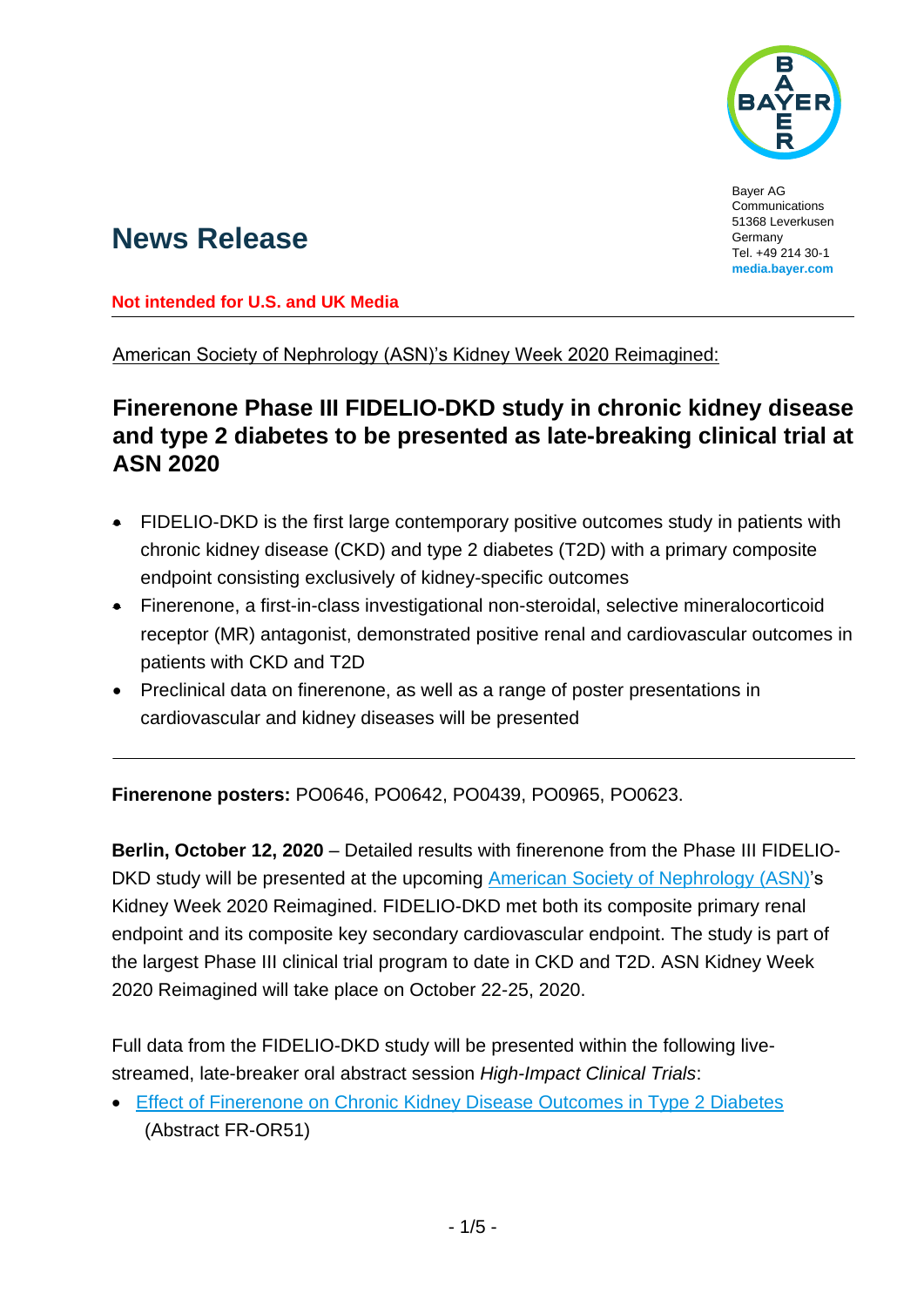

Bayer AG Communications 51368 Leverkusen Germany Tel. +49 214 30-1 **media.bayer.com**

# **News Release**

**Not intended for U.S. and UK Media**

American Society of Nephrology (ASN)'s Kidney Week 2020 Reimagined:

## **Finerenone Phase III FIDELIO-DKD study in chronic kidney disease and type 2 diabetes to be presented as late-breaking clinical trial at ASN 2020**

- FIDELIO-DKD is the first large contemporary positive outcomes study in patients with chronic kidney disease (CKD) and type 2 diabetes (T2D) with a primary composite endpoint consisting exclusively of kidney-specific outcomes
- Finerenone, a first-in-class investigational non-steroidal, selective mineralocorticoid receptor (MR) antagonist, demonstrated positive renal and cardiovascular outcomes in patients with CKD and T2D
- Preclinical data on finerenone, as well as a range of poster presentations in cardiovascular and kidney diseases will be presented

**Finerenone posters:** PO0646, PO0642, PO0439, PO0965, PO0623.

**Berlin, October 12, 2020** – Detailed results with finerenone from the Phase III FIDELIO-DKD study will be presented at the upcoming [American Society of Nephrology](https://www.asn-online.org/education/kidneyweek/) (ASN)'s Kidney Week 2020 Reimagined. FIDELIO-DKD met both its composite primary renal endpoint and its composite key secondary cardiovascular endpoint. The study is part of the largest Phase III clinical trial program to date in CKD and T2D. ASN Kidney Week 2020 Reimagined will take place on October 22-25, 2020.

Full data from the FIDELIO-DKD study will be presented within the following livestreamed, late-breaker oral abstract session *High-Impact Clinical Trials*:

 [Effect of Finerenone on Chronic Kidney Disease Outcomes in Type 2 Diabetes](https://www.asn-online.org/education/kidneyweek/2020/program-session-details.aspx?sessId=377804) (Abstract FR-OR51)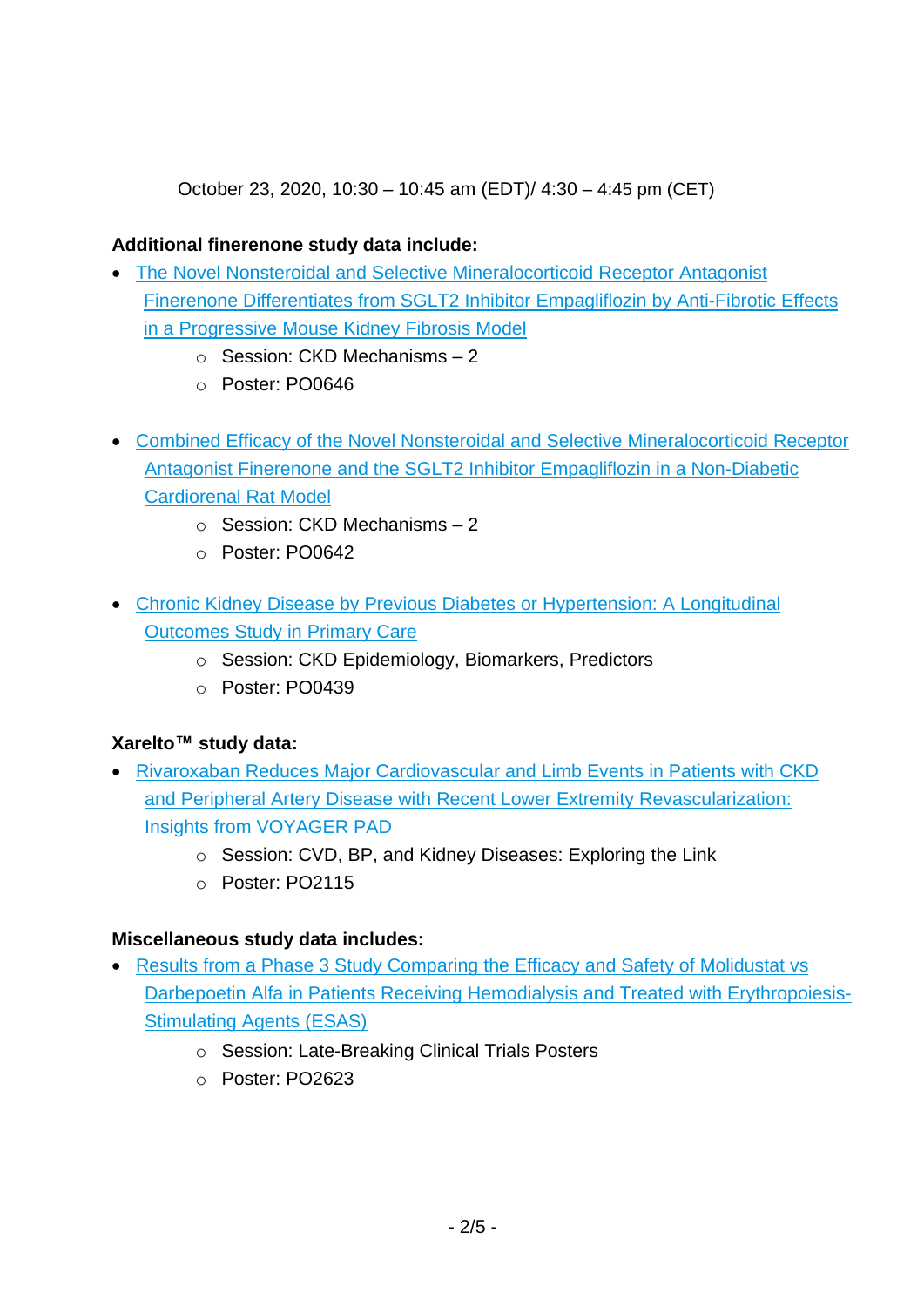October 23, 2020, 10:30 – 10:45 am (EDT)/ 4:30 – 4:45 pm (CET)

### **Additional finerenone study data include:**

- [The Novel Nonsteroidal and Selective Mineralocorticoid Receptor](https://www.asn-online.org/education/kidneyweek/2020/program-abstract.aspx?controlId=3436776) Antagonist [Finerenone Differentiates from SGLT2 Inhibitor Empagliflozin by Anti-Fibrotic Effects](https://www.asn-online.org/education/kidneyweek/2020/program-abstract.aspx?controlId=3436776)  in a [Progressive Mouse Kidney Fibrosis Model](https://www.asn-online.org/education/kidneyweek/2020/program-abstract.aspx?controlId=3436776)
	- o Session: CKD Mechanisms 2
	- o Poster: PO0646
- [Combined Efficacy of the Novel Nonsteroidal and Selective Mineralocorticoid Receptor](https://www.asn-online.org/education/kidneyweek/2020/program-abstract.aspx?controlId=3436910) [Antagonist Finerenone and the SGLT2 Inhibitor Empagliflozin in a](https://www.asn-online.org/education/kidneyweek/2020/program-abstract.aspx?controlId=3436910) Non-Diabetic [Cardiorenal Rat Model](https://www.asn-online.org/education/kidneyweek/2020/program-abstract.aspx?controlId=3436910)
	- o Session: CKD Mechanisms 2
	- o Poster: PO0642
- Chronic Kidney Disease [by Previous Diabetes or Hypertension: A](https://www.asn-online.org/education/kidneyweek/2020/program-abstract.aspx?controlId=3439359) Longitudinal [Outcomes Study in Primary Care](https://www.asn-online.org/education/kidneyweek/2020/program-abstract.aspx?controlId=3439359)
	- o Session: CKD Epidemiology, Biomarkers, Predictors
	- o Poster: PO0439

#### **Xarelto™ study data:**

- [Rivaroxaban Reduces Major Cardiovascular and Limb Events in Patients with CKD](https://www.asn-online.org/education/kidneyweek/2020/program-abstract.aspx?controlId=3440061)  [and Peripheral Artery Disease with Recent Lower Extremity Revascularization:](https://www.asn-online.org/education/kidneyweek/2020/program-abstract.aspx?controlId=3440061)  [Insights from VOYAGER PAD](https://www.asn-online.org/education/kidneyweek/2020/program-abstract.aspx?controlId=3440061)
	- o Session: CVD, BP, and Kidney Diseases: Exploring the Link
	- o Poster: PO2115

#### **Miscellaneous study data includes:**

- Results from a [Phase 3 Study Comparing the Efficacy and Safety of Molidustat vs](https://www.asn-online.org/education/kidneyweek/2020/program-session-details.aspx?sessId=377805) [Darbepoetin Alfa in Patients Receiving Hemodialysis and Treated with Erythropoiesis-](https://www.asn-online.org/education/kidneyweek/2020/program-session-details.aspx?sessId=377805)[Stimulating Agents \(ESAS\)](https://www.asn-online.org/education/kidneyweek/2020/program-session-details.aspx?sessId=377805)
	- o Session: Late-Breaking Clinical Trials Posters
	- o Poster: PO2623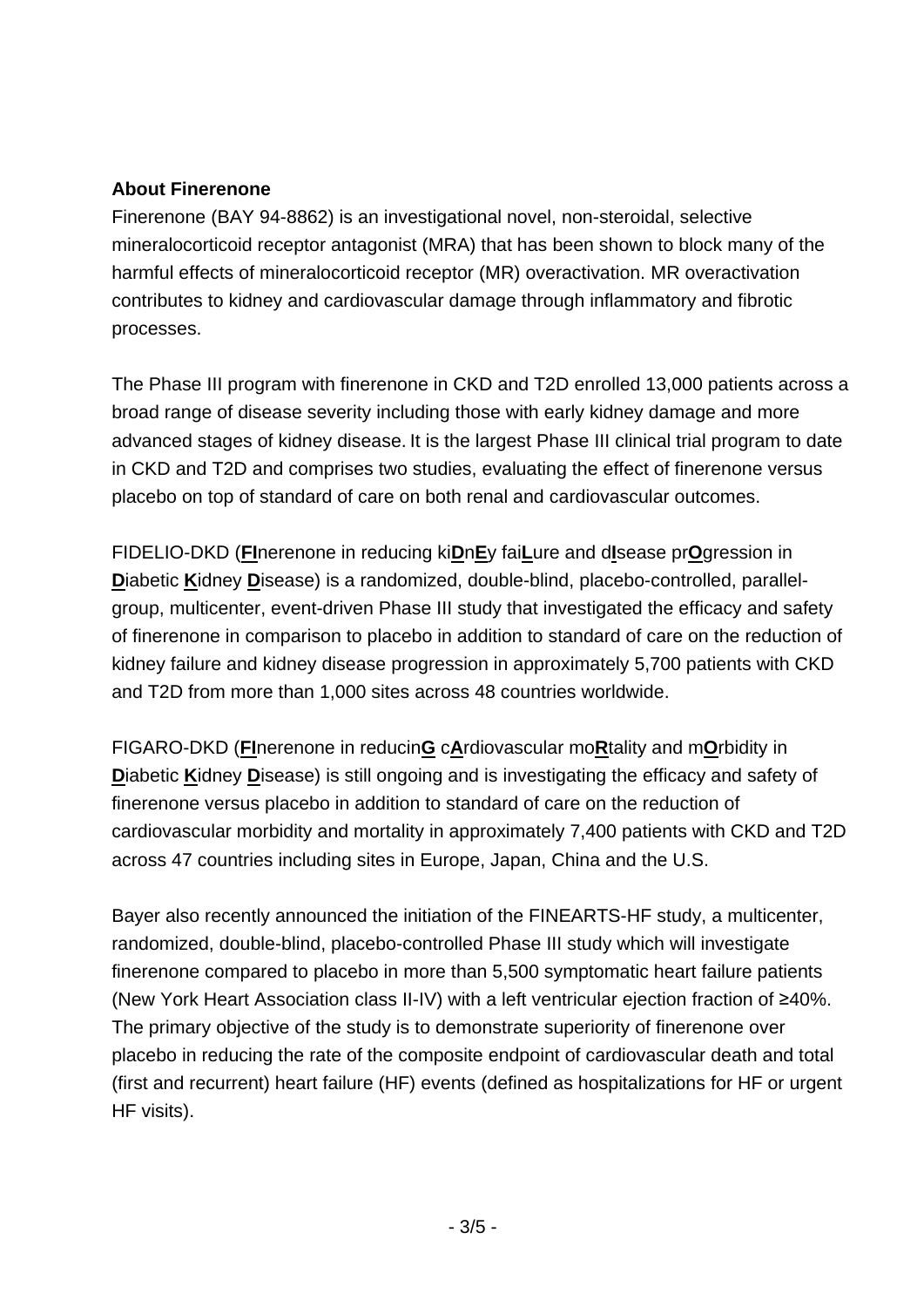#### **About Finerenone**

Finerenone (BAY 94-8862) is an investigational novel, non-steroidal, selective mineralocorticoid receptor antagonist (MRA) that has been shown to block many of the harmful effects of mineralocorticoid receptor (MR) overactivation. MR overactivation contributes to kidney and cardiovascular damage through inflammatory and fibrotic processes.

The Phase III program with finerenone in CKD and T2D enrolled 13,000 patients across a broad range of disease severity including those with early kidney damage and more advanced stages of kidney disease. It is the largest Phase III clinical trial program to date in CKD and T2D and comprises two studies, evaluating the effect of finerenone versus placebo on top of standard of care on both renal and cardiovascular outcomes.

FIDELIO-DKD (**FI**nerenone in reducing ki**D**n**E**y fai**L**ure and d**I**sease pr**O**gression in **D**iabetic **K**idney **D**isease) is a randomized, double-blind, placebo-controlled, parallelgroup, multicenter, event-driven Phase III study that investigated the efficacy and safety of finerenone in comparison to placebo in addition to standard of care on the reduction of kidney failure and kidney disease progression in approximately 5,700 patients with CKD and T2D from more than 1,000 sites across 48 countries worldwide.

FIGARO-DKD (**FI**nerenone in reducin**G** c**A**rdiovascular mo**R**tality and m**O**rbidity in **Diabetic Kidney Disease) is still ongoing and is investigating the efficacy and safety of** finerenone versus placebo in addition to standard of care on the reduction of cardiovascular morbidity and mortality in approximately 7,400 patients with CKD and T2D across 47 countries including sites in Europe, Japan, China and the U.S.

Bayer also recently announced the initiation of the FINEARTS-HF study, a multicenter, randomized, double-blind, placebo-controlled Phase III study which will investigate finerenone compared to placebo in more than 5,500 symptomatic heart failure patients (New York Heart Association class II-IV) with a left ventricular ejection fraction of ≥40%. The primary objective of the study is to demonstrate superiority of finerenone over placebo in reducing the rate of the composite endpoint of cardiovascular death and total (first and recurrent) heart failure (HF) events (defined as hospitalizations for HF or urgent HF visits).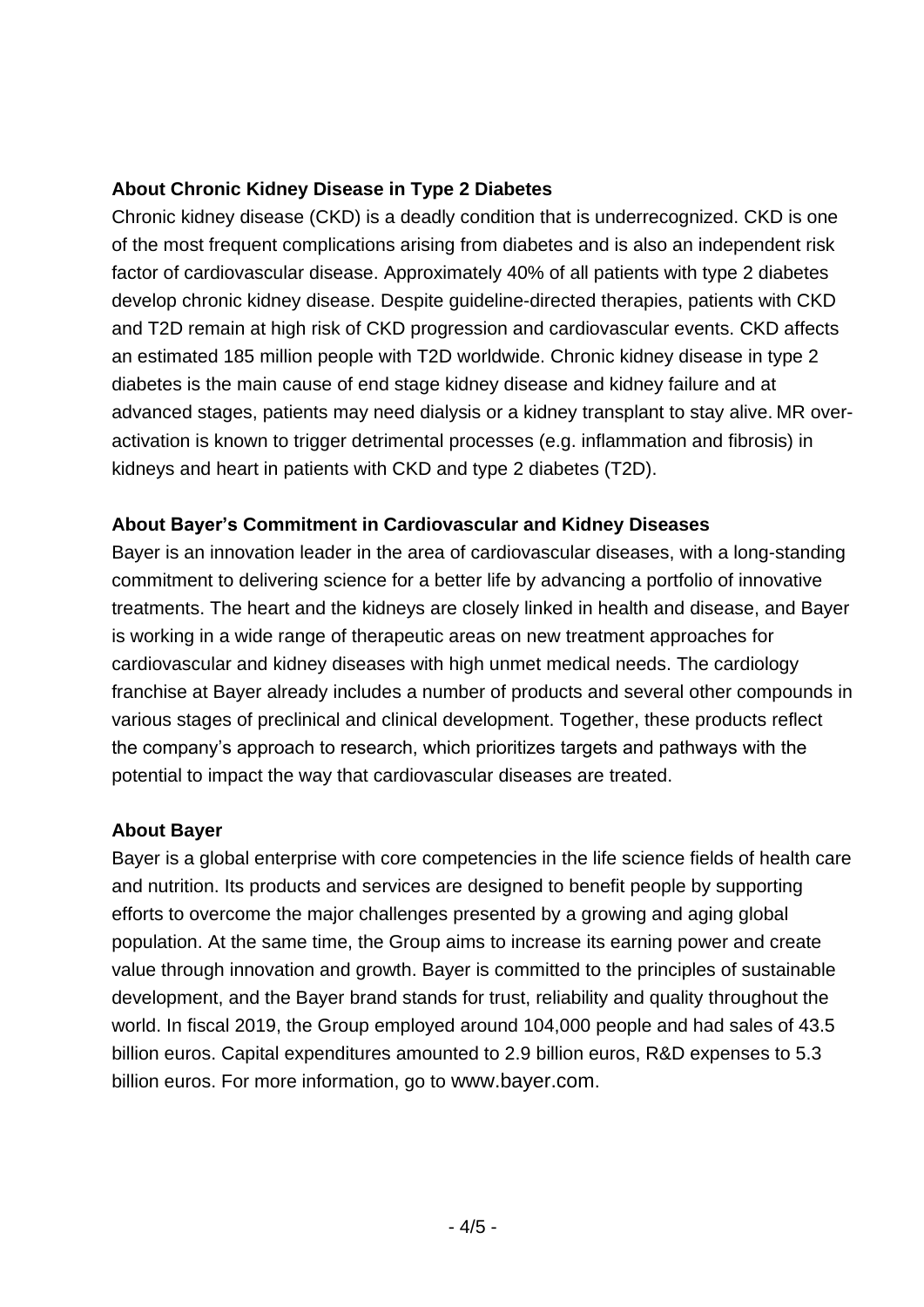### **About Chronic Kidney Disease in Type 2 Diabetes**

Chronic kidney disease (CKD) is a deadly condition that is underrecognized. CKD is one of the most frequent complications arising from diabetes and is also an independent risk factor of cardiovascular disease. Approximately 40% of all patients with type 2 diabetes develop chronic kidney disease. Despite guideline-directed therapies, patients with CKD and T2D remain at high risk of CKD progression and cardiovascular events. CKD affects an estimated 185 million people with T2D worldwide. Chronic kidney disease in type 2 diabetes is the main cause of end stage kidney disease and kidney failure and at advanced stages, patients may need dialysis or a kidney transplant to stay alive. MR overactivation is known to trigger detrimental processes (e.g. inflammation and fibrosis) in kidneys and heart in patients with CKD and type 2 diabetes (T2D).

### **About Bayer's Commitment in Cardiovascular and Kidney Diseases**

Bayer is an innovation leader in the area of cardiovascular diseases, with a long-standing commitment to delivering science for a better life by advancing a portfolio of innovative treatments. The heart and the kidneys are closely linked in health and disease, and Bayer is working in a wide range of therapeutic areas on new treatment approaches for cardiovascular and kidney diseases with high unmet medical needs. The cardiology franchise at Bayer already includes a number of products and several other compounds in various stages of preclinical and clinical development. Together, these products reflect the company's approach to research, which prioritizes targets and pathways with the potential to impact the way that cardiovascular diseases are treated.

#### **About Bayer**

Bayer is a global enterprise with core competencies in the life science fields of health care and nutrition. Its products and services are designed to benefit people by supporting efforts to overcome the major challenges presented by a growing and aging global population. At the same time, the Group aims to increase its earning power and create value through innovation and growth. Bayer is committed to the principles of sustainable development, and the Bayer brand stands for trust, reliability and quality throughout the world. In fiscal 2019, the Group employed around 104,000 people and had sales of 43.5 billion euros. Capital expenditures amounted to 2.9 billion euros, R&D expenses to 5.3 billion euros. For more information, go to [www.bayer.com](http://www.bayer.com/).